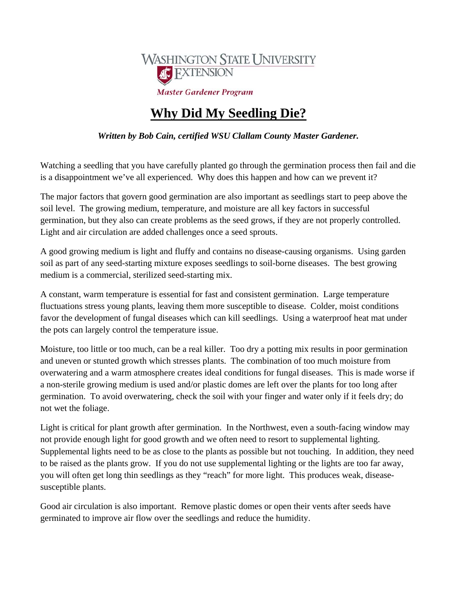

## **Why Did My Seedling Die?**

*Written by Bob Cain, certified WSU Clallam County Master Gardener.* 

Watching a seedling that you have carefully planted go through the germination process then fail and die is a disappointment we've all experienced. Why does this happen and how can we prevent it?

The major factors that govern good germination are also important as seedlings start to peep above the soil level. The growing medium, temperature, and moisture are all key factors in successful germination, but they also can create problems as the seed grows, if they are not properly controlled. Light and air circulation are added challenges once a seed sprouts.

A good growing medium is light and fluffy and contains no disease-causing organisms. Using garden soil as part of any seed-starting mixture exposes seedlings to soil-borne diseases. The best growing medium is a commercial, sterilized seed-starting mix.

A constant, warm temperature is essential for fast and consistent germination. Large temperature fluctuations stress young plants, leaving them more susceptible to disease. Colder, moist conditions favor the development of fungal diseases which can kill seedlings. Using a waterproof heat mat under the pots can largely control the temperature issue.

Moisture, too little or too much, can be a real killer. Too dry a potting mix results in poor germination and uneven or stunted growth which stresses plants. The combination of too much moisture from overwatering and a warm atmosphere creates ideal conditions for fungal diseases. This is made worse if a non-sterile growing medium is used and/or plastic domes are left over the plants for too long after germination. To avoid overwatering, check the soil with your finger and water only if it feels dry; do not wet the foliage.

Light is critical for plant growth after germination. In the Northwest, even a south-facing window may not provide enough light for good growth and we often need to resort to supplemental lighting. Supplemental lights need to be as close to the plants as possible but not touching. In addition, they need to be raised as the plants grow. If you do not use supplemental lighting or the lights are too far away, you will often get long thin seedlings as they "reach" for more light. This produces weak, diseasesusceptible plants.

Good air circulation is also important. Remove plastic domes or open their vents after seeds have germinated to improve air flow over the seedlings and reduce the humidity.